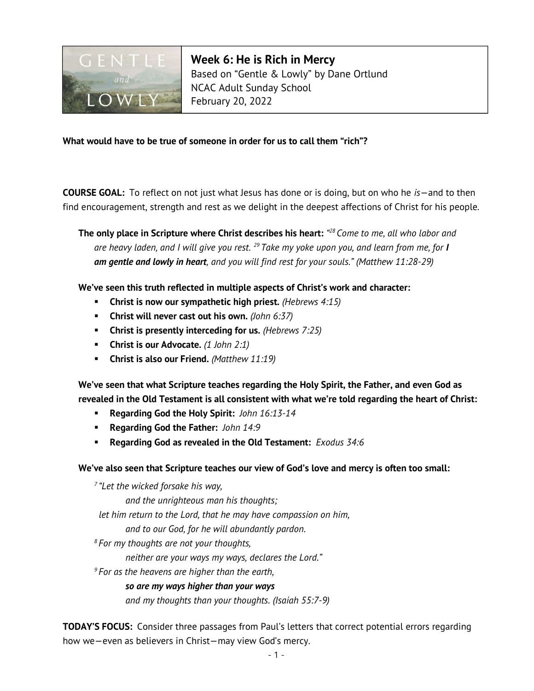

Week 6: He is Rich in Mercy Based on "Gentle & Lowly" by Dane Ortlund NCAC Adult Sunday School February 20, 2022

### What would have to be true of someone in order for us to call them "rich"?

**COURSE GOAL:** To reflect on not just what Jesus has done or is doing, but on who he  $is$  - and to then find encouragement, strength and rest as we delight in the deepest affections of Christ for his people.

The only place in Scripture where Christ describes his heart: "28 Come to me, all who labor and are heavy laden, and I will give you rest. <sup>29</sup> Take my yoke upon you, and learn from me, for I am gentle and lowly in heart, and you will find rest for your souls." (Matthew 11:28-29)

We've seen this truth reflected in multiple aspects of Christ's work and character:

- **Christ is now our sympathetic high priest.** (Hebrews  $4:15$ )
- **Christ will never cast out his own.** (John  $6:37$ )
- **Christ is presently interceding for us.** (Hebrews  $7:25$ )
- **Christ is our Advocate.**  $(1 \text{ John } 2:1)$
- **Christ is also our Friend.** (Matthew  $11:19$ )

We've seen that what Scripture teaches regarding the Holy Spirit, the Father, and even God as revealed in the Old Testament is all consistent with what we're told regarding the heart of Christ:

- Regarding God the Holy Spirit: John 16:13-14
- Regarding God the Father: John 14:9
- **Regarding God as revealed in the Old Testament:** Exodus  $34:6$

#### We've also seen that Scripture teaches our view of God's love and mercy is often too small:

 $7$  "Let the wicked forsake his way, and the unrighteous man his thoughts; let him return to the Lord, that he may have compassion on him, and to our God, for he will abundantly pardon.  $8$  For my thoughts are not your thoughts, neither are your ways my ways, declares the Lord."  $9$  For as the heavens are higher than the earth, so are my ways higher than your ways

and my thoughts than your thoughts. (Isaiah 55:7-9)

**TODAY'S FOCUS:** Consider three passages from Paul's letters that correct potential errors regarding how we—even as believers in Christ—may view God's mercy.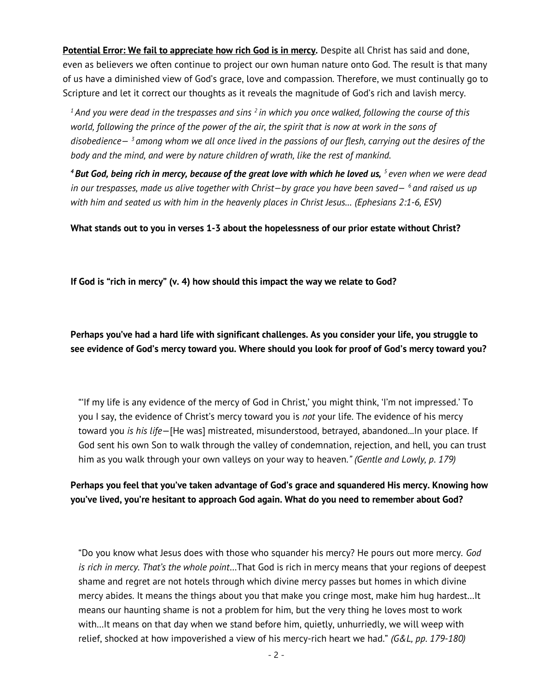Potential Error: We fail to appreciate how rich God is in mercy. Despite all Christ has said and done, even as believers we often continue to project our own human nature onto God. The result is that many of us have a diminished view of God's grace, love and compassion. Therefore, we must continually go to Scripture and let it correct our thoughts as it reveals the magnitude of God's rich and lavish mercy.

 $1$ And you were dead in the trespasses and sins  $2$  in which you once walked, following the course of this world, following the prince of the power of the air, the spirit that is now at work in the sons of disobedience $-\frac{3}{2}$  among whom we all once lived in the passions of our flesh, carrying out the desires of the body and the mind, and were by nature children of wrath, like the rest of mankind.

 $4$  But God, being rich in mercy, because of the great love with which he loved us,  $5$  even when we were dead in our trespasses, made us alive together with Christ-by grace you have been saved-  $^6$  and raised us up with him and seated us with him in the heavenly places in Christ Jesus… (Ephesians 2:1-6, ESV)

What stands out to you in verses 1-3 about the hopelessness of our prior estate without Christ?

If God is "rich in mercy" (v. 4) how should this impact the way we relate to God?

Perhaps you've had a hard life with significant challenges. As you consider your life, you struggle to see evidence of God's mercy toward you. Where should you look for proof of God's mercy toward you?

"'If my life is any evidence of the mercy of God in Christ,' you might think, 'I'm not impressed.' To you I say, the evidence of Christ's mercy toward you is not your life. The evidence of his mercy toward you is his life-[He was] mistreated, misunderstood, betrayed, abandoned...ln your place. If God sent his own Son to walk through the valley of condemnation, rejection, and hell, you can trust him as you walk through your own valleys on your way to heaven." (Gentle and Lowly, p. 179)

Perhaps you feel that you've taken advantage of God's grace and squandered His mercy. Knowing how you've lived, you're hesitant to approach God again. What do you need to remember about God?

"Do you know what Jesus does with those who squander his mercy? He pours out more mercy. God is rich in mercy. That's the whole point...That God is rich in mercy means that your regions of deepest shame and regret are not hotels through which divine mercy passes but homes in which divine mercy abides. It means the things about you that make you cringe most, make him hug hardest…It means our haunting shame is not a problem for him, but the very thing he loves most to work with…It means on that day when we stand before him, quietly, unhurriedly, we will weep with relief, shocked at how impoverished a view of his mercy-rich heart we had."  $(G&L, pp. 179-180)$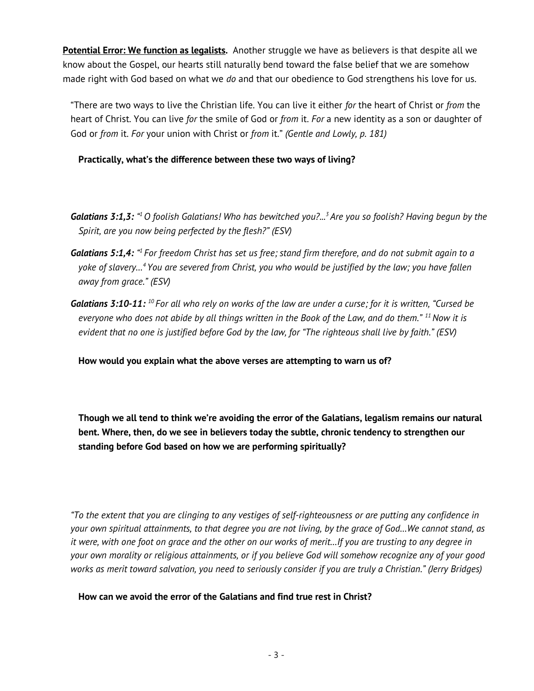**Potential Error: We function as legalists.** Another struggle we have as believers is that despite all we know about the Gospel, our hearts still naturally bend toward the false belief that we are somehow made right with God based on what we do and that our obedience to God strengthens his love for us.

"There are two ways to live the Christian life. You can live it either for the heart of Christ or from the heart of Christ. You can live for the smile of God or from it. For a new identity as a son or daughter of God or from it. For your union with Christ or from it." (Gentle and Lowly, p. 181)

Practically, what's the difference between these two ways of living?

- **Galatians 3:1,3:** "<sup>1</sup> O foolish Galatians! Who has bewitched you?...<sup>3</sup> Are you so foolish? Having begun by the Spirit, are you now being perfected by the flesh?" (ESV)
- **Galatians 5:1,4:** "I For freedom Christ has set us free; stand firm therefore, and do not submit again to a yoke of slavery…<sup>4</sup>You are severed from Christ, you who would be justified by the law; you have fallen away from grace." (ESV)
- **Galatians 3:10-11:** <sup>10</sup> For all who rely on works of the law are under a curse; for it is written, "Cursed be everyone who does not abide by all things written in the Book of the Law, and do them."  $^{11}$  Now it is evident that no one is justified before God by the law, for "The righteous shall live by faith." (ESV)

How would you explain what the above verses are attempting to warn us of?

Though we all tend to think we're avoiding the error of the Galatians, legalism remains our natural bent. Where, then, do we see in believers today the subtle, chronic tendency to strengthen our standing before God based on how we are performing spiritually?

"To the extent that you are clinging to any vestiges of self-righteousness or are putting any confidence in your own spiritual attainments, to that degree you are not living, by the grace of God…We cannot stand, as it were, with one foot on grace and the other on our works of merit…If you are trusting to any degree in your own morality or religious attainments, or if you believe God will somehow recognize any of your good works as merit toward salvation, you need to seriously consider if you are truly a Christian." (Jerry Bridges)

How can we avoid the error of the Galatians and find true rest in Christ?